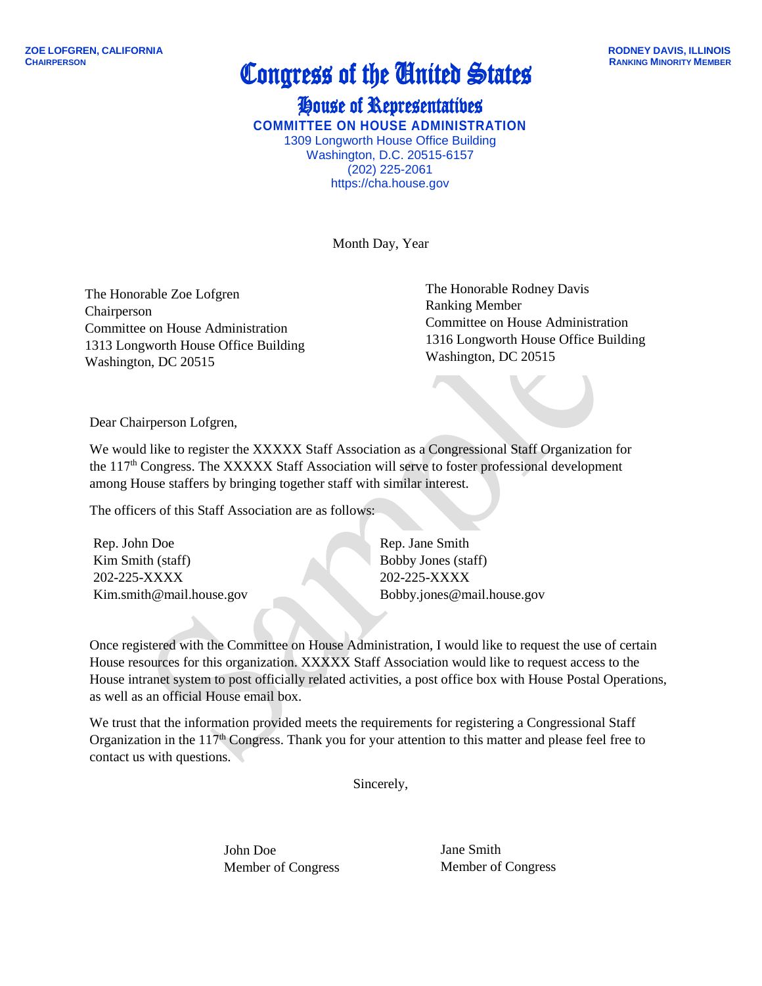## **Congress of the United States**

House of Representatives **COMMITTEE ON HOUSE ADMINISTRATION** 1309 Longworth House Office Building Washington, D.C. 20515-6157 (202) 225-2061 https://cha.house.gov

Month Day, Year

The Honorable Zoe Lofgren Chairperson Committee on House Administration 1313 Longworth House Office Building Washington, DC 20515

The Honorable Rodney Davis Ranking Member Committee on House Administration 1316 Longworth House Office Building Washington, DC 20515

Dear Chairperson Lofgren,

We would like to register the XXXXX Staff Association as a Congressional Staff Organization for the 117<sup>th</sup> Congress. The XXXXX Staff Association will serve to foster professional development among House staffers by bringing together staff with similar interest.

The officers of this Staff Association are as follows:

Rep. John Doe Kim Smith (staff) 202-225-XXXX Kim.smith@mail.house.gov Rep. Jane Smith Bobby Jones (staff) 202-225-XXXX Bobby.jones@mail.house.gov

Once registered with the Committee on House Administration, I would like to request the use of certain House resources for this organization. XXXXX Staff Association would like to request access to the House intranet system to post officially related activities, a post office box with House Postal Operations, as well as an official House email box.

We trust that the information provided meets the requirements for registering a Congressional Staff Organization in the 117<sup>th</sup> Congress. Thank you for your attention to this matter and please feel free to contact us with questions.

Sincerely,

John Doe Member of Congress Jane Smith Member of Congress